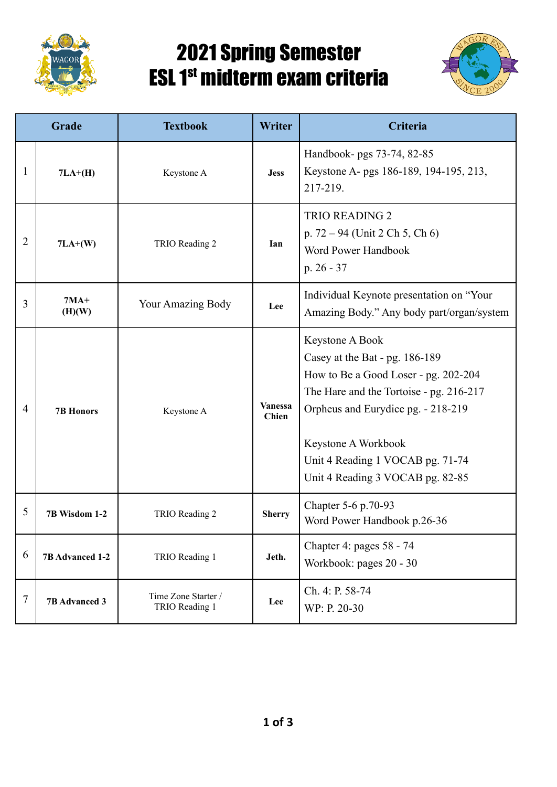

## 2021 Spring Semester ESL 1<sup>st</sup> midterm exam criteria



| Grade          |                      | <b>Textbook</b>                       | Writer                         | Criteria                                                                                                                                                                                                                                                                  |
|----------------|----------------------|---------------------------------------|--------------------------------|---------------------------------------------------------------------------------------------------------------------------------------------------------------------------------------------------------------------------------------------------------------------------|
| 1              | $7LA+(H)$            | Keystone A                            | <b>Jess</b>                    | Handbook- pgs 73-74, 82-85<br>Keystone A- pgs 186-189, 194-195, 213,<br>217-219.                                                                                                                                                                                          |
| $\overline{2}$ | $7LA+(W)$            | TRIO Reading 2                        | Ian                            | <b>TRIO READING 2</b><br>p. $72 - 94$ (Unit 2 Ch 5, Ch 6)<br>Word Power Handbook<br>$p. 26 - 37$                                                                                                                                                                          |
| 3              | $7MA+$<br>(H)(W)     | <b>Your Amazing Body</b>              | Lee                            | Individual Keynote presentation on "Your<br>Amazing Body." Any body part/organ/system                                                                                                                                                                                     |
| $\overline{4}$ | <b>7B Honors</b>     | Keystone A                            | <b>Vanessa</b><br><b>Chien</b> | Keystone A Book<br>Casey at the Bat - pg. 186-189<br>How to Be a Good Loser - pg. 202-204<br>The Hare and the Tortoise - pg. 216-217<br>Orpheus and Eurydice pg. - 218-219<br>Keystone A Workbook<br>Unit 4 Reading 1 VOCAB pg. 71-74<br>Unit 4 Reading 3 VOCAB pg. 82-85 |
| 5              | 7B Wisdom 1-2        | TRIO Reading 2                        | <b>Sherry</b>                  | Chapter 5-6 p.70-93<br>Word Power Handbook p.26-36                                                                                                                                                                                                                        |
| 6              | 7B Advanced 1-2      | TRIO Reading 1                        | Jeth.                          | Chapter 4: pages 58 - 74<br>Workbook: pages 20 - 30                                                                                                                                                                                                                       |
| 7              | <b>7B Advanced 3</b> | Time Zone Starter /<br>TRIO Reading 1 | Lee                            | Ch. 4: P. 58-74<br>WP: P. 20-30                                                                                                                                                                                                                                           |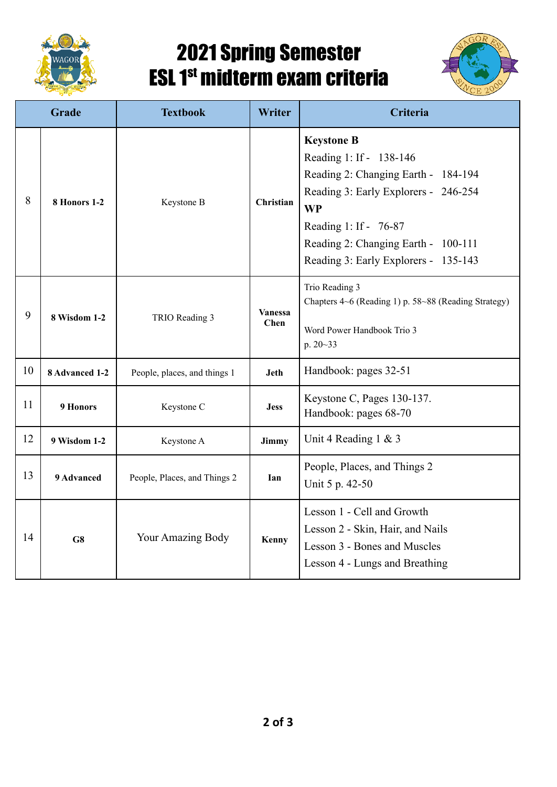

## 2021 Spring Semester ESL 1<sup>st</sup> midterm exam criteria



| Grade |                     | <b>Textbook</b>              | Writer                 | Criteria                                                                                                                                                                                                                                         |
|-------|---------------------|------------------------------|------------------------|--------------------------------------------------------------------------------------------------------------------------------------------------------------------------------------------------------------------------------------------------|
| 8     | 8 Honors 1-2        | Keystone B                   | Christian              | <b>Keystone B</b><br>Reading 1: If - 138-146<br>Reading 2: Changing Earth - 184-194<br>Reading 3: Early Explorers - 246-254<br><b>WP</b><br>Reading 1: If - 76-87<br>Reading 2: Changing Earth - 100-111<br>Reading 3: Early Explorers - 135-143 |
| 9     | <b>8 Wisdom 1-2</b> | TRIO Reading 3               | <b>Vanessa</b><br>Chen | Trio Reading 3<br>Chapters 4~6 (Reading 1) p. 58~88 (Reading Strategy)<br>Word Power Handbook Trio 3<br>p. 20~33                                                                                                                                 |
| 10    | 8 Advanced 1-2      | People, places, and things 1 | Jeth                   | Handbook: pages 32-51                                                                                                                                                                                                                            |
| 11    | 9 Honors            | Keystone C                   | <b>Jess</b>            | Keystone C, Pages 130-137.<br>Handbook: pages 68-70                                                                                                                                                                                              |
| 12    | 9 Wisdom 1-2        | Keystone A                   | Jimmy                  | Unit 4 Reading $1 \& 3$                                                                                                                                                                                                                          |
| 13    | 9 Advanced          | People, Places, and Things 2 | Ian                    | People, Places, and Things 2<br>Unit 5 p. 42-50                                                                                                                                                                                                  |
| 14    | G8                  | Your Amazing Body            | Kenny                  | Lesson 1 - Cell and Growth<br>Lesson 2 - Skin, Hair, and Nails<br>Lesson 3 - Bones and Muscles<br>Lesson 4 - Lungs and Breathing                                                                                                                 |